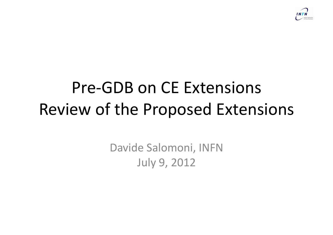

## Pre-GDB on CE Extensions Review of the Proposed Extensions

Davide Salomoni, INFN July 9, 2012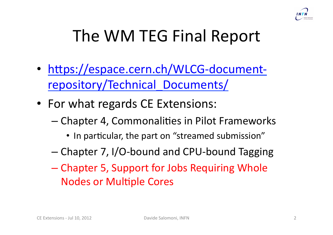

## The WM TEG Final Report

- https://espace.cern.ch/WLCG-documentrepository/Technical\_Documents/
- For what regards CE Extensions:
	- $-$  Chapter 4, Commonalities in Pilot Frameworks
		- In particular, the part on "streamed submission"
	- Chapter 7, I/O-bound and CPU-bound Tagging
	- Chapter 5, Support for Jobs Requiring Whole Nodes or Multiple Cores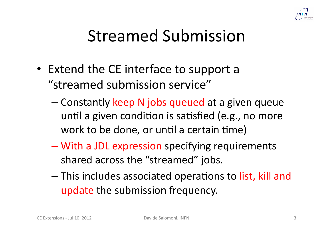

## Streamed Submission

- Extend the CE interface to support a "streamed submission service"
	- Constantly keep N jobs queued at a given queue until a given condition is satisfied (e.g., no more work to be done, or until a certain time)
	- With a JDL expression specifying requirements shared across the "streamed" jobs.
	- This includes associated operations to list, kill and update the submission frequency.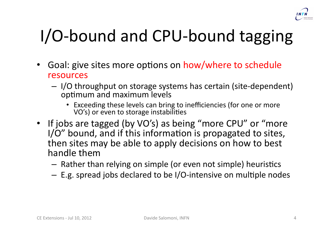

# I/O-bound and CPU-bound tagging

- Goal: give sites more options on how/where to schedule resources
	- $-$  I/O throughput on storage systems has certain (site-dependent) optimum and maximum levels
		- Exceeding these levels can bring to inefficiencies (for one or more VO's) or even to storage instabilities
- If jobs are tagged (by VO's) as being "more CPU" or "more  $I/O''$  bound, and if this information is propagated to sites, then sites may be able to apply decisions on how to best handle them
	- Rather than relying on simple (or even not simple) heuristics
	- $-$  E.g. spread jobs declared to be I/O-intensive on multiple nodes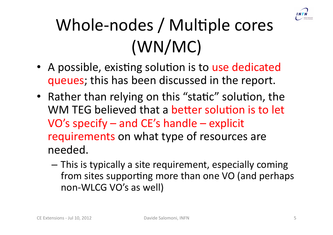

# Whole-nodes / Multiple cores  $(WN/MC)$

- A possible, existing solution is to use dedicated queues; this has been discussed in the report.
- Rather than relying on this "static" solution, the WM TEG believed that a better solution is to let VO's specify – and CE's handle – explicit requirements on what type of resources are needed.
	- This is typically a site requirement, especially coming from sites supporting more than one VO (and perhaps) non-WLCG VO's as well)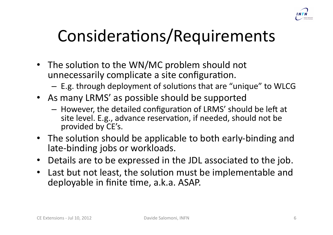

## Considerations/Requirements

- The solution to the WN/MC problem should not unnecessarily complicate a site configuration.
	- $-$  E.g. through deployment of solutions that are "unique" to WLCG
- As many LRMS' as possible should be supported
	- However, the detailed configuration of LRMS' should be left at site level. E.g., advance reservation, if needed, should not be provided by CE's.
- The solution should be applicable to both early-binding and late-binding jobs or workloads.
- Details are to be expressed in the JDL associated to the job.
- Last but not least, the solution must be implementable and deployable in finite time, a.k.a. ASAP.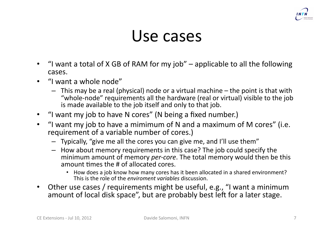

#### Use cases

- "I want a total of X GB of RAM for my job" applicable to all the following cases.
- "I want a whole node"
	- $-$  This may be a real (physical) node or a virtual machine the point is that with "whole-node" requirements all the hardware (real or virtual) visible to the job is made available to the job itself and only to that job.
- "I want my job to have N cores" (N being a fixed number.)
- "I want my job to have a mimimum of N and a maximum of M cores" (i.e. requirement of a variable number of cores.)
	- Typically, "give me all the cores you can give me, and I'll use them"
	- How about memory requirements in this case? The job could specify the minimum amount of memory *per-core*. The total memory would then be this amount times the # of allocated cores.
		- How does a job know how many cores has it been allocated in a shared environment? This is the role of the *enviroment variables* discussion.
- Other use cases / requirements might be useful, e.g., "I want a minimum amount of local disk space", but are probably best left for a later stage.